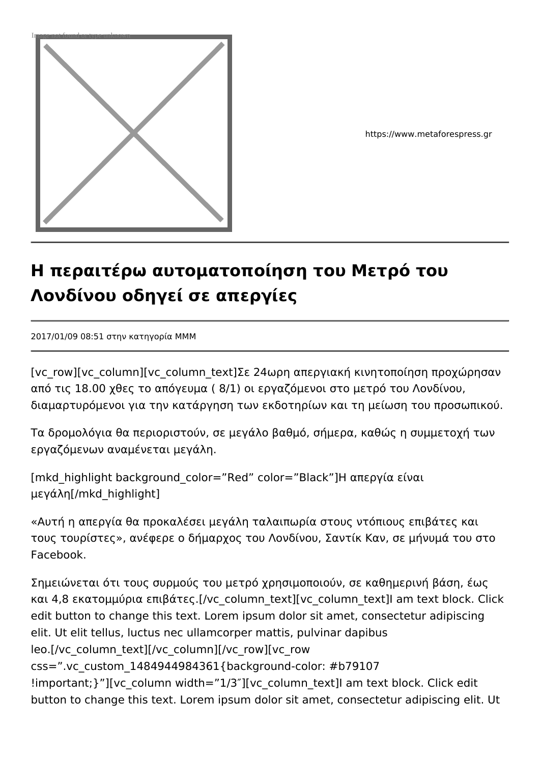

https://www.metaforespress.gr

## **Η περαιτέρω αυτοματοποίηση του Μετρό του Λονδίνου οδηγεί σε απεργίες**

2017/01/09 08:51 στην κατηγορία MMM

[vc\_row][vc\_column][vc\_column\_text]Σε 24ωρη απεργιακή κινητοποίηση προχώρησαν από τις 18.00 χθες το απόγευμα ( 8/1) οι εργαζόμενοι στο μετρό του Λονδίνου, διαμαρτυρόμενοι για την κατάργηση των εκδοτηρίων και τη μείωση του προσωπικού.

Τα δρομολόγια θα περιοριστούν, σε μεγάλο βαθμό, σήμερα, καθώς η συμμετοχή των εργαζόμενων αναμένεται μεγάλη.

[mkd\_highlight background\_color="Red" color="Black"]Η απεργία είναι μεγάλη[/mkd\_highlight]

«Αυτή η απεργία θα προκαλέσει μεγάλη ταλαιπωρία στους ντόπιους επιβάτες και τους τουρίστες», ανέφερε ο δήμαρχος του Λονδίνου, Σαντίκ Καν, σε μήνυμά του στο Facebook.

Σημειώνεται ότι τους συρμούς του μετρό χρησιμοποιούν, σε καθημερινή βάση, έως και 4,8 εκατομμύρια επιβάτες.[/vc\_column\_text][vc\_column\_text]I am text block. Click edit button to change this text. Lorem ipsum dolor sit amet, consectetur adipiscing elit. Ut elit tellus, luctus nec ullamcorper mattis, pulvinar dapibus leo.[/vc\_column\_text][/vc\_column][/vc\_row][vc\_row css=".vc\_custom\_1484944984361{background-color: #b79107 !important; }"][vc\_column\_width="1/3"][vc\_column\_text]I am text block. Click edit button to change this text. Lorem ipsum dolor sit amet, consectetur adipiscing elit. Ut